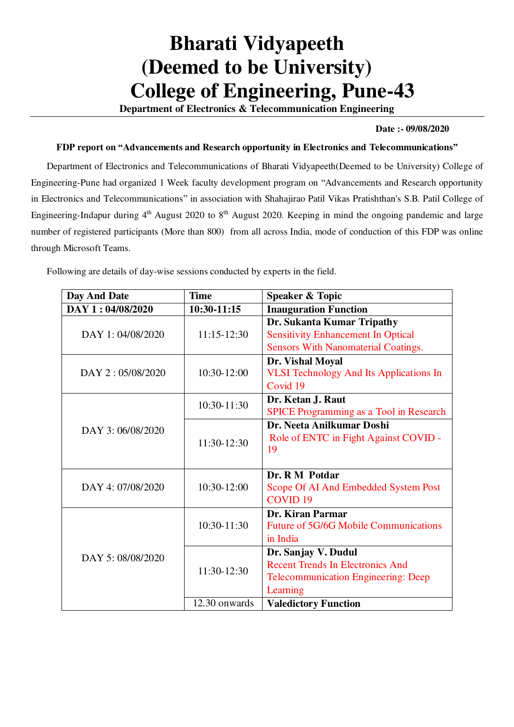## **Bharati Vidyapeeth (Deemed to be University) College of Engineering, Pune-43**

**Department of Electronics & Telecommunication Engineering** 

## **Date :- 09/08/2020**

## **FDP report on "Advancements and Research opportunity in Electronics and Telecommunications"**

Department of Electronics and Telecommunications of Bharati Vidyapeeth(Deemed to be University) College of Engineering-Pune had organized 1 Week faculty development program on "Advancements and Research opportunity in Electronics and Telecommunications" in association with Shahajirao Patil Vikas Pratishthan's S.B. Patil College of Engineering-Indapur during  $4<sup>th</sup>$  August 2020 to  $8<sup>th</sup>$  August 2020. Keeping in mind the ongoing pandemic and large number of registered participants (More than 800) from all across India, mode of conduction of this FDP was online through Microsoft Teams.

Following are details of day-wise sessions conducted by experts in the field.

| Day And Date      | <b>Time</b>     | <b>Speaker &amp; Topic</b>                     |
|-------------------|-----------------|------------------------------------------------|
| DAY 1:04/08/2020  | 10:30-11:15     | <b>Inauguration Function</b>                   |
| DAY 1: 04/08/2020 | $11:15 - 12:30$ | Dr. Sukanta Kumar Tripathy                     |
|                   |                 | <b>Sensitivity Enhancement In Optical</b>      |
|                   |                 | <b>Sensors With Nanomaterial Coatings.</b>     |
| DAY 2:05/08/2020  | 10:30-12:00     | Dr. Vishal Moyal                               |
|                   |                 | <b>VLSI Technology And Its Applications In</b> |
|                   |                 | Covid 19                                       |
| DAY 3:06/08/2020  | 10:30-11:30     | Dr. Ketan J. Raut                              |
|                   |                 | <b>SPICE Programming as a Tool in Research</b> |
|                   | 11:30-12:30     | Dr. Neeta Anilkumar Doshi                      |
|                   |                 | Role of ENTC in Fight Against COVID -          |
|                   |                 | 19                                             |
|                   |                 |                                                |
| DAY 4: 07/08/2020 | 10:30-12:00     | Dr. R M Potdar                                 |
|                   |                 | Scope Of AI And Embedded System Post           |
|                   |                 | <b>COVID<sub>19</sub></b>                      |
| DAY 5: 08/08/2020 | $10:30 - 11:30$ | Dr. Kiran Parmar                               |
|                   |                 | <b>Future of 5G/6G Mobile Communications</b>   |
|                   |                 | in India                                       |
|                   | 11:30-12:30     | Dr. Sanjay V. Dudul                            |
|                   |                 | <b>Recent Trends In Electronics And</b>        |
|                   |                 | <b>Telecommunication Engineering: Deep</b>     |
|                   |                 | Learning                                       |
|                   | 12.30 onwards   | <b>Valedictory Function</b>                    |